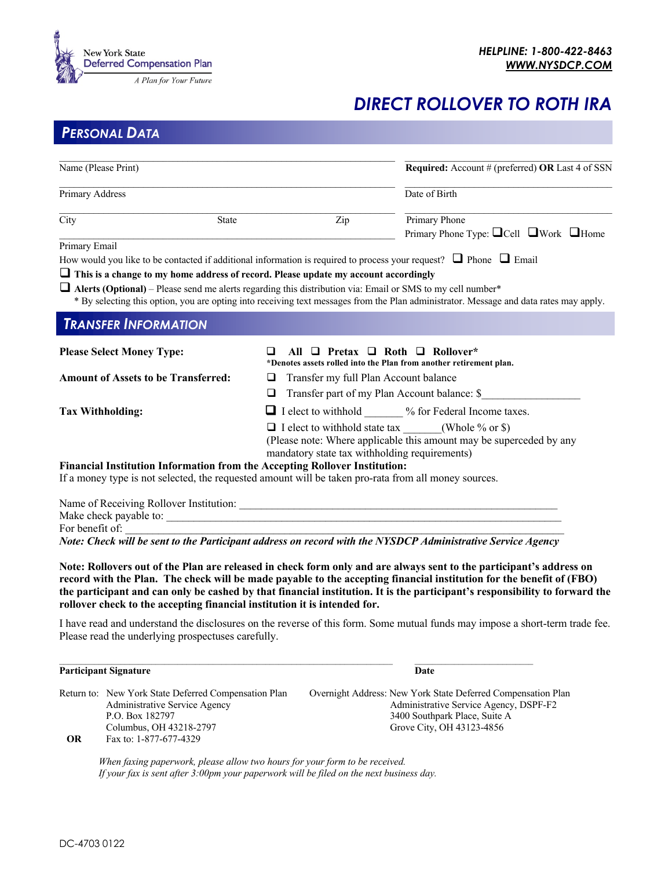

## *DIRECT ROLLOVER TO ROTH IRA*

*PERSONAL DATA*

| Name (Please Print)                        | Required: Account # (preferred) OR Last 4 of SSN                                                                            |                                                                                                                                        |  |
|--------------------------------------------|-----------------------------------------------------------------------------------------------------------------------------|----------------------------------------------------------------------------------------------------------------------------------------|--|
| Primary Address                            |                                                                                                                             | Date of Birth                                                                                                                          |  |
| City                                       | Zip<br><b>State</b>                                                                                                         | Primary Phone<br>Primary Phone Type: $\Box$ Cell $\Box$ Work $\Box$ Home                                                               |  |
| Primary Email                              |                                                                                                                             |                                                                                                                                        |  |
|                                            | How would you like to be contacted if additional information is required to process your request? $\Box$ Phone $\Box$ Email |                                                                                                                                        |  |
|                                            | $\Box$ This is a change to my home address of record. Please update my account accordingly                                  |                                                                                                                                        |  |
|                                            | $\Box$ Alerts (Optional) – Please send me alerts regarding this distribution via: Email or SMS to my cell number*           | * By selecting this option, you are opting into receiving text messages from the Plan administrator. Message and data rates may apply. |  |
| <b>TRANSFER INFORMATION</b>                |                                                                                                                             |                                                                                                                                        |  |
| <b>Please Select Money Type:</b>           | ப                                                                                                                           | All $\Box$ Pretax $\Box$ Roth $\Box$ Rollover*<br>*Denotes assets rolled into the Plan from another retirement plan.                   |  |
| <b>Amount of Assets to be Transferred:</b> | Transfer my full Plan Account balance<br>⊔                                                                                  |                                                                                                                                        |  |
|                                            | □                                                                                                                           | Transfer part of my Plan Account balance: \$                                                                                           |  |
| <b>Tax Withholding:</b>                    |                                                                                                                             | □ I elect to withhold _______ % for Federal Income taxes.                                                                              |  |
|                                            | $\Box$ I elect to withhold state tax (Whole % or \$)                                                                        | (Please note: Where applicable this amount may be superceded by any                                                                    |  |
|                                            | mandatory state tax withholding requirements)                                                                               |                                                                                                                                        |  |
|                                            | Financial Institution Information from the Accepting Rollover Institution:                                                  |                                                                                                                                        |  |
|                                            | If a money type is not selected, the requested amount will be taken pro-rata from all money sources.                        |                                                                                                                                        |  |
| Make check payable to:                     | Name of Receiving Rollover Institution: Name of Receiving Rollover Institution:                                             |                                                                                                                                        |  |
| For benefit of:                            |                                                                                                                             |                                                                                                                                        |  |

*Note: Check will be sent to the Participant address on record with the NYSDCP Administrative Service Agency*

**Note: Rollovers out of the Plan are released in check form only and are always sent to the participant's address on record with the Plan. The check will be made payable to the accepting financial institution for the benefit of (FBO) the participant and can only be cashed by that financial institution. It is the participant's responsibility to forward the rollover check to the accepting financial institution it is intended for.**

I have read and understand the disclosures on the reverse of this form. Some mutual funds may impose a short-term trade fee. Please read the underlying prospectuses carefully.

## **Participant Signature Date**

|           | Return to: New York State Deferred Compensation Plan | Overnight Address: New York State Deferred Compensation Plan |
|-----------|------------------------------------------------------|--------------------------------------------------------------|
|           | Administrative Service Agency                        | Administrative Service Agency, DSPF-F2                       |
|           | P.O. Box 182797                                      | 3400 Southpark Place, Suite A                                |
|           | Columbus, OH 43218-2797                              | Grove City, OH 43123-4856                                    |
| <b>OR</b> | Fax to: 1-877-677-4329                               |                                                              |

*When faxing paperwork, please allow two hours for your form to be received. If your fax is sent after 3:00pm your paperwork will be filed on the next business day.*